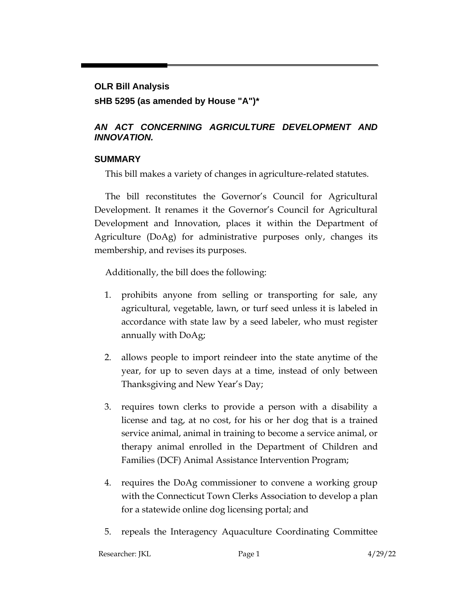# **OLR Bill Analysis sHB 5295 (as amended by House "A")\***

# *AN ACT CONCERNING AGRICULTURE DEVELOPMENT AND INNOVATION.*

### **SUMMARY**

This bill makes a variety of changes in agriculture-related statutes.

The bill reconstitutes the Governor's Council for Agricultural Development. It renames it the Governor's Council for Agricultural Development and Innovation, places it within the Department of Agriculture (DoAg) for administrative purposes only, changes its membership, and revises its purposes.

Additionally, the bill does the following:

- 1. prohibits anyone from selling or transporting for sale, any agricultural, vegetable, lawn, or turf seed unless it is labeled in accordance with state law by a seed labeler, who must register annually with DoAg;
- 2. allows people to import reindeer into the state anytime of the year, for up to seven days at a time, instead of only between Thanksgiving and New Year's Day;
- 3. requires town clerks to provide a person with a disability a license and tag, at no cost, for his or her dog that is a trained service animal, animal in training to become a service animal, or therapy animal enrolled in the Department of Children and Families (DCF) Animal Assistance Intervention Program;
- 4. requires the DoAg commissioner to convene a working group with the Connecticut Town Clerks Association to develop a plan for a statewide online dog licensing portal; and
- 5. repeals the Interagency Aquaculture Coordinating Committee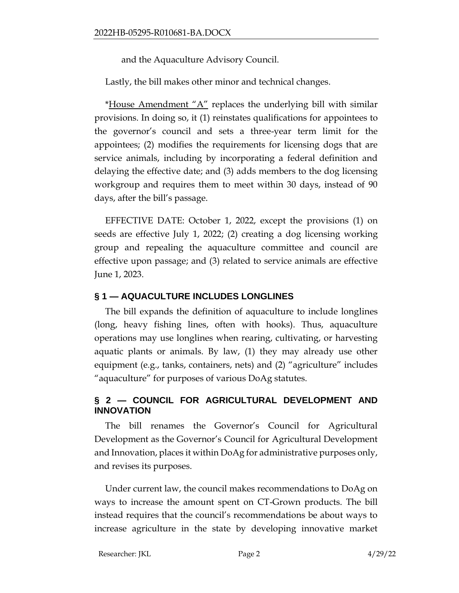and the Aquaculture Advisory Council.

Lastly, the bill makes other minor and technical changes.

\*House Amendment " $A$ " replaces the underlying bill with similar provisions. In doing so, it (1) reinstates qualifications for appointees to the governor's council and sets a three-year term limit for the appointees; (2) modifies the requirements for licensing dogs that are service animals, including by incorporating a federal definition and delaying the effective date; and (3) adds members to the dog licensing workgroup and requires them to meet within 30 days, instead of 90 days, after the bill's passage.

EFFECTIVE DATE: October 1, 2022, except the provisions (1) on seeds are effective July 1, 2022; (2) creating a dog licensing working group and repealing the aquaculture committee and council are effective upon passage; and (3) related to service animals are effective June 1, 2023.

# **§ 1 — AQUACULTURE INCLUDES LONGLINES**

The bill expands the definition of aquaculture to include longlines (long, heavy fishing lines, often with hooks). Thus, aquaculture operations may use longlines when rearing, cultivating, or harvesting aquatic plants or animals. By law, (1) they may already use other equipment (e.g., tanks, containers, nets) and (2) "agriculture" includes "aquaculture" for purposes of various DoAg statutes.

#### **§ 2 — COUNCIL FOR AGRICULTURAL DEVELOPMENT AND INNOVATION**

The bill renames the Governor's Council for Agricultural Development as the Governor's Council for Agricultural Development and Innovation, places it within DoAg for administrative purposes only, and revises its purposes.

Under current law, the council makes recommendations to DoAg on ways to increase the amount spent on CT-Grown products. The bill instead requires that the council's recommendations be about ways to increase agriculture in the state by developing innovative market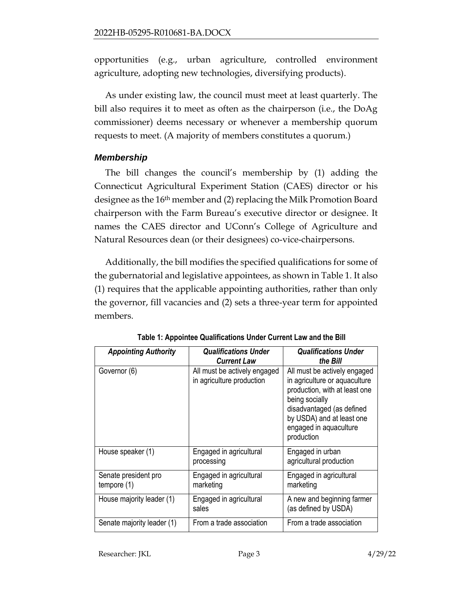opportunities (e.g., urban agriculture, controlled environment agriculture, adopting new technologies, diversifying products).

As under existing law, the council must meet at least quarterly. The bill also requires it to meet as often as the chairperson (i.e., the DoAg commissioner) deems necessary or whenever a membership quorum requests to meet. (A majority of members constitutes a quorum.)

### *Membership*

The bill changes the council's membership by (1) adding the Connecticut Agricultural Experiment Station (CAES) director or his designee as the 16<sup>th</sup> member and (2) replacing the Milk Promotion Board chairperson with the Farm Bureau's executive director or designee. It names the CAES director and UConn's College of Agriculture and Natural Resources dean (or their designees) co-vice-chairpersons.

Additionally, the bill modifies the specified qualifications for some of the gubernatorial and legislative appointees, as shown in Table 1. It also (1) requires that the applicable appointing authorities, rather than only the governor, fill vacancies and (2) sets a three-year term for appointed members.

| <b>Appointing Authority</b>           | <b>Qualifications Under</b><br><b>Current Law</b>         | <b>Qualifications Under</b><br>the Bill                                                                                                                                                                            |
|---------------------------------------|-----------------------------------------------------------|--------------------------------------------------------------------------------------------------------------------------------------------------------------------------------------------------------------------|
| Governor (6)                          | All must be actively engaged<br>in agriculture production | All must be actively engaged<br>in agriculture or aquaculture<br>production, with at least one<br>being socially<br>disadvantaged (as defined<br>by USDA) and at least one<br>engaged in aquaculture<br>production |
| House speaker (1)                     | Engaged in agricultural<br>processing                     | Engaged in urban<br>agricultural production                                                                                                                                                                        |
| Senate president pro<br>tempore $(1)$ | Engaged in agricultural<br>marketing                      | Engaged in agricultural<br>marketing                                                                                                                                                                               |
| House majority leader (1)             | Engaged in agricultural<br>sales                          | A new and beginning farmer<br>(as defined by USDA)                                                                                                                                                                 |
| Senate majority leader (1)            | From a trade association                                  | From a trade association                                                                                                                                                                                           |

**Table 1: Appointee Qualifications Under Current Law and the Bill**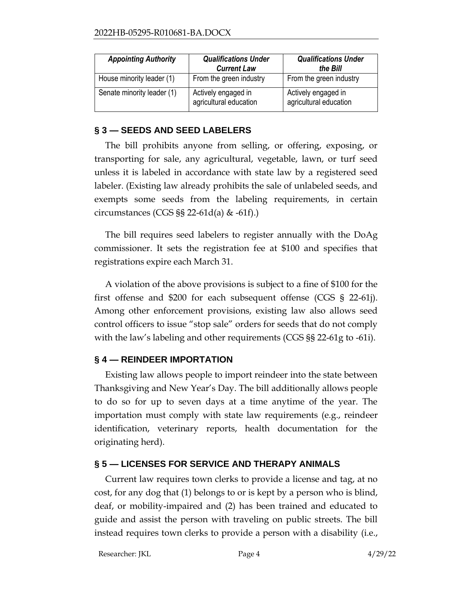| <b>Appointing Authority</b> | <b>Qualifications Under</b><br><b>Current Law</b> | <b>Qualifications Under</b><br>the Bill       |
|-----------------------------|---------------------------------------------------|-----------------------------------------------|
| House minority leader (1)   | From the green industry                           | From the green industry                       |
| Senate minority leader (1)  | Actively engaged in<br>agricultural education     | Actively engaged in<br>agricultural education |

#### **§ 3 — SEEDS AND SEED LABELERS**

The bill prohibits anyone from selling, or offering, exposing, or transporting for sale, any agricultural, vegetable, lawn, or turf seed unless it is labeled in accordance with state law by a registered seed labeler. (Existing law already prohibits the sale of unlabeled seeds, and exempts some seeds from the labeling requirements, in certain circumstances (CGS §§ 22-61d(a) & -61f).)

The bill requires seed labelers to register annually with the DoAg commissioner. It sets the registration fee at \$100 and specifies that registrations expire each March 31.

A violation of the above provisions is subject to a fine of \$100 for the first offense and \$200 for each subsequent offense (CGS § 22-61j). Among other enforcement provisions, existing law also allows seed control officers to issue "stop sale" orders for seeds that do not comply with the law's labeling and other requirements (CGS §§ 22-61g to -61i).

### **§ 4 — REINDEER IMPORTATION**

Existing law allows people to import reindeer into the state between Thanksgiving and New Year's Day. The bill additionally allows people to do so for up to seven days at a time anytime of the year. The importation must comply with state law requirements (e.g., reindeer identification, veterinary reports, health documentation for the originating herd).

### **§ 5 — LICENSES FOR SERVICE AND THERAPY ANIMALS**

Current law requires town clerks to provide a license and tag, at no cost, for any dog that (1) belongs to or is kept by a person who is blind, deaf, or mobility-impaired and (2) has been trained and educated to guide and assist the person with traveling on public streets. The bill instead requires town clerks to provide a person with a disability (i.e.,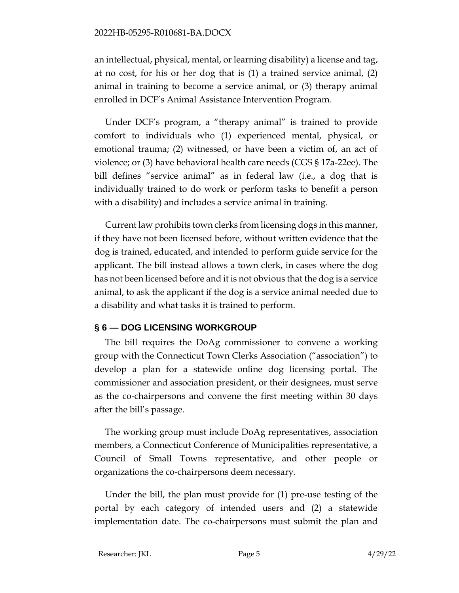an intellectual, physical, mental, or learning disability) a license and tag, at no cost, for his or her dog that is (1) a trained service animal, (2) animal in training to become a service animal, or (3) therapy animal enrolled in DCF's Animal Assistance Intervention Program.

Under DCF's program, a "therapy animal" is trained to provide comfort to individuals who (1) experienced mental, physical, or emotional trauma; (2) witnessed, or have been a victim of, an act of violence; or (3) have behavioral health care needs (CGS § 17a-22ee). The bill defines "service animal" as in federal law (i.e., a dog that is individually trained to do work or perform tasks to benefit a person with a disability) and includes a service animal in training.

Current law prohibits town clerks from licensing dogs in this manner, if they have not been licensed before, without written evidence that the dog is trained, educated, and intended to perform guide service for the applicant. The bill instead allows a town clerk, in cases where the dog has not been licensed before and it is not obvious that the dog is a service animal, to ask the applicant if the dog is a service animal needed due to a disability and what tasks it is trained to perform.

#### **§ 6 — DOG LICENSING WORKGROUP**

The bill requires the DoAg commissioner to convene a working group with the Connecticut Town Clerks Association ("association") to develop a plan for a statewide online dog licensing portal. The commissioner and association president, or their designees, must serve as the co-chairpersons and convene the first meeting within 30 days after the bill's passage.

The working group must include DoAg representatives, association members, a Connecticut Conference of Municipalities representative, a Council of Small Towns representative, and other people or organizations the co-chairpersons deem necessary.

Under the bill, the plan must provide for (1) pre-use testing of the portal by each category of intended users and (2) a statewide implementation date. The co-chairpersons must submit the plan and